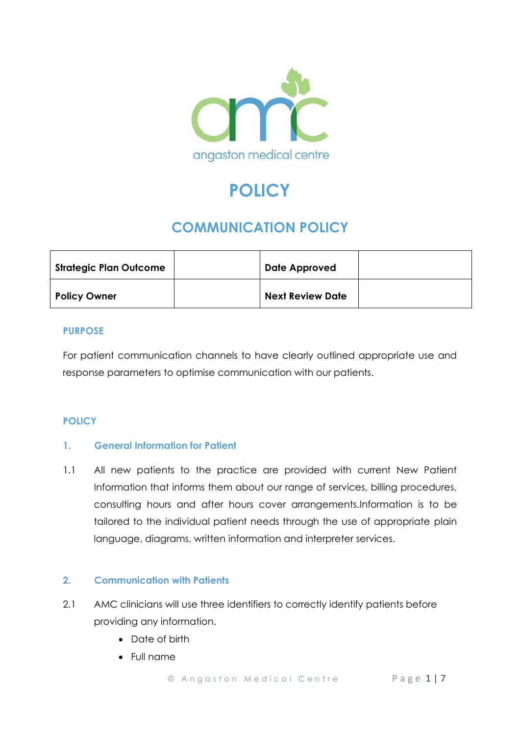

# **POLICY**

# **COMMUNICATION POLICY**

| <b>Strategic Plan Outcome</b> | Date Approved           |  |
|-------------------------------|-------------------------|--|
| <b>Policy Owner</b>           | <b>Next Review Date</b> |  |

### **PURPOSE**

For patient communication channels to have clearly outlined appropriate use and response parameters to optimise communication with our patients.

# **POLICY**

### **1. General Information for Patient**

1.1 All new patients to the practice are provided with current New Patient Information that informs them about our range of services, billing procedures, consulting hours and after hours cover arrangements.Information is to be tailored to the individual patient needs through the use of appropriate plain language, diagrams, written information and interpreter services.

### **2. Communication with Patients**

- 2.1 AMC clinicians will use three identifiers to correctly identify patients before providing any information.
	- Date of birth
	- Full name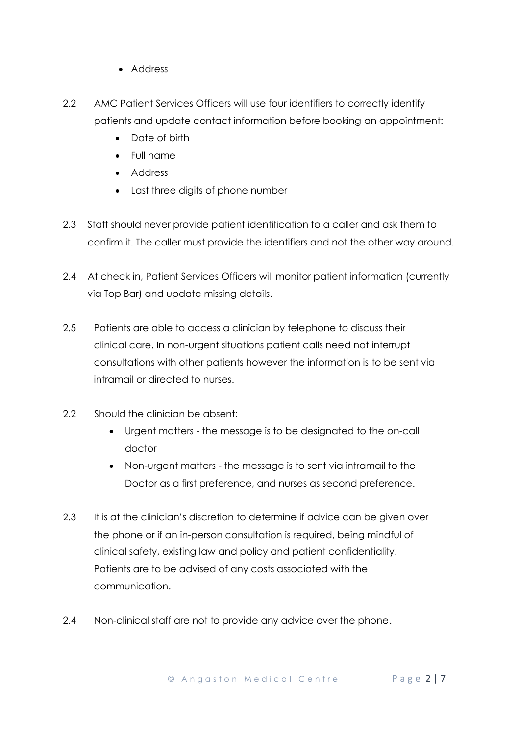- Address
- 2.2 AMC Patient Services Officers will use four identifiers to correctly identify patients and update contact information before booking an appointment:
	- Date of birth
	- Full name
	- Address
	- Last three digits of phone number
- 2.3 Staff should never provide patient identification to a caller and ask them to confirm it. The caller must provide the identifiers and not the other way around.
- 2.4 At check in, Patient Services Officers will monitor patient information (currently via Top Bar) and update missing details.
- 2.5 Patients are able to access a clinician by telephone to discuss their clinical care. In non-urgent situations patient calls need not interrupt consultations with other patients however the information is to be sent via intramail or directed to nurses.
- 2.2 Should the clinician be absent:
	- Urgent matters the message is to be designated to the on-call doctor
	- Non-urgent matters the message is to sent via intramail to the Doctor as a first preference, and nurses as second preference.
- 2.3 It is at the clinician's discretion to determine if advice can be given over the phone or if an in-person consultation is required, being mindful of clinical safety, existing law and policy and patient confidentiality. Patients are to be advised of any costs associated with the communication.
- 2.4 Non-clinical staff are not to provide any advice over the phone.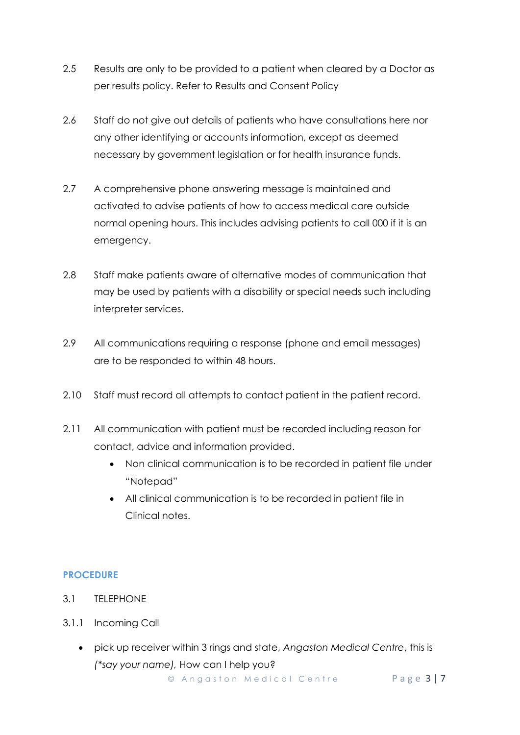- 2.5 Results are only to be provided to a patient when cleared by a Doctor as per results policy. Refer to Results and Consent Policy
- 2.6 Staff do not give out details of patients who have consultations here nor any other identifying or accounts information, except as deemed necessary by government legislation or for health insurance funds.
- 2.7 A comprehensive phone answering message is maintained and activated to advise patients of how to access medical care outside normal opening hours. This includes advising patients to call 000 if it is an emergency.
- 2.8 Staff make patients aware of alternative modes of communication that may be used by patients with a disability or special needs such including interpreter services.
- 2.9 All communications requiring a response (phone and email messages) are to be responded to within 48 hours.
- 2.10 Staff must record all attempts to contact patient in the patient record.
- 2.11 All communication with patient must be recorded including reason for contact, advice and information provided.
	- Non clinical communication is to be recorded in patient file under "Notepad"
	- All clinical communication is to be recorded in patient file in Clinical notes.

### **PROCEDURE**

- 3.1 TELEPHONE
- 3.1.1 Incoming Call
	- pick up receiver within 3 rings and state, *Angaston Medical Centre*, this is *(\*say your name),* How can I help you?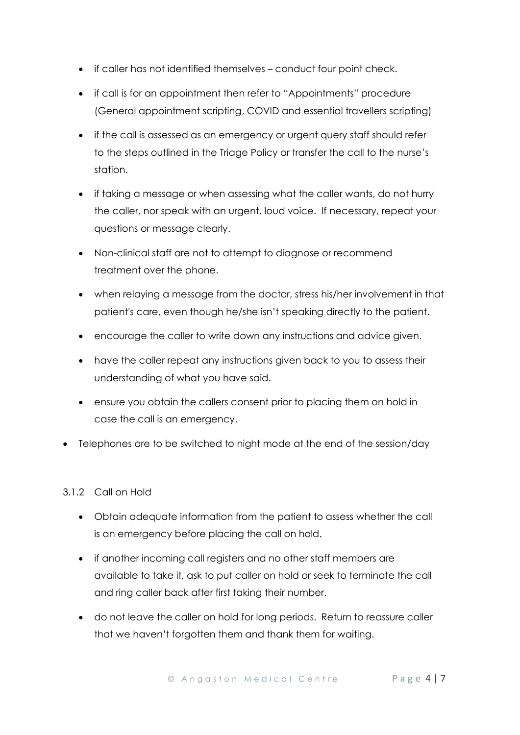- if caller has not identified themselves conduct four point check.
- if call is for an appointment then refer to "Appointments" procedure (General appointment scripting, COVID and essential travellers scripting)
- if the call is assessed as an emergency or urgent query staff should refer to the steps outlined in the Triage Policy or transfer the call to the nurse's station.
- if taking a message or when assessing what the caller wants, do not hurry the caller, nor speak with an urgent, loud voice. If necessary, repeat your questions or message clearly.
- Non-clinical staff are not to attempt to diagnose or recommend treatment over the phone.
- when relaying a message from the doctor, stress his/her involvement in that patient's care, even though he/she isn't speaking directly to the patient.
- encourage the caller to write down any instructions and advice given.
- have the caller repeat any instructions given back to you to assess their understanding of what you have said.
- ensure you obtain the callers consent prior to placing them on hold in case the call is an emergency.
- Telephones are to be switched to night mode at the end of the session/day

### 3.1.2 Call on Hold

- Obtain adequate information from the patient to assess whether the call is an emergency before placing the call on hold.
- if another incoming call registers and no other staff members are available to take it, ask to put caller on hold or seek to terminate the call and ring caller back after first taking their number.
- do not leave the caller on hold for long periods. Return to reassure caller that we haven't forgotten them and thank them for waiting.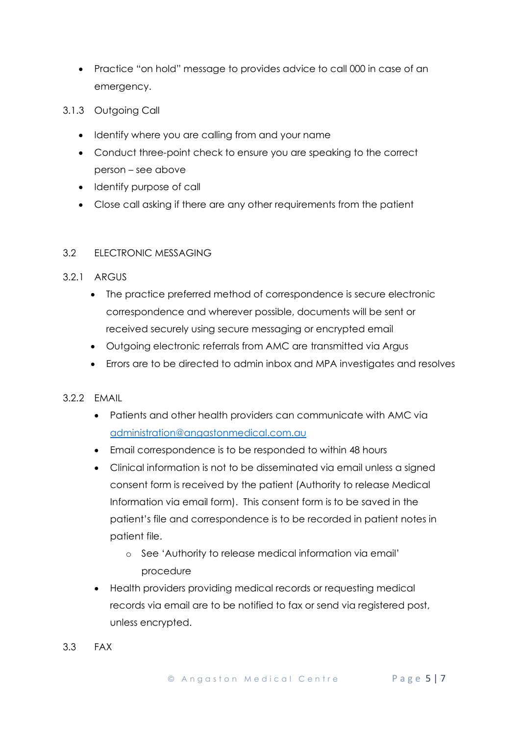- Practice "on hold" message to provides advice to call 000 in case of an emergency.
- 3.1.3 Outgoing Call
	- Identify where you are calling from and your name
	- Conduct three-point check to ensure you are speaking to the correct person – see above
	- Identify purpose of call
	- Close call asking if there are any other requirements from the patient

#### 3.2 ELECTRONIC MESSAGING

#### 3.2.1 ARGUS

- The practice preferred method of correspondence is secure electronic correspondence and wherever possible, documents will be sent or received securely using secure messaging or encrypted email
- Outgoing electronic referrals from AMC are transmitted via Argus
- Errors are to be directed to admin inbox and MPA investigates and resolves

#### 3.2.2 EMAIL

- Patients and other health providers can communicate with AMC via [administration@angastonmedical.com.au](mailto:administration@angastonmedical.com.au)
- Email correspondence is to be responded to within 48 hours
- Clinical information is not to be disseminated via email unless a signed consent form is received by the patient (Authority to release Medical Information via email form). This consent form is to be saved in the patient's file and correspondence is to be recorded in patient notes in patient file.
	- o See 'Authority to release medical information via email' procedure
- Health providers providing medical records or requesting medical records via email are to be notified to fax or send via registered post, unless encrypted.
- 3.3 FAX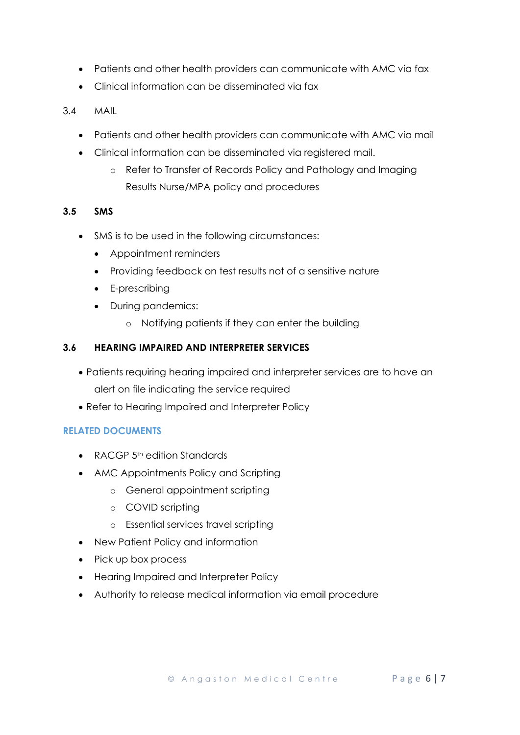- Patients and other health providers can communicate with AMC via fax
- Clinical information can be disseminated via fax
- 3.4 MAIL
	- Patients and other health providers can communicate with AMC via mail
	- Clinical information can be disseminated via registered mail.
		- o Refer to Transfer of Records Policy and Pathology and Imaging Results Nurse/MPA policy and procedures

### **3.5 SMS**

- SMS is to be used in the following circumstances:
	- Appointment reminders
	- Providing feedback on test results not of a sensitive nature
	- E-prescribing
	- During pandemics:
		- o Notifying patients if they can enter the building

## **3.6 HEARING IMPAIRED AND INTERPRETER SERVICES**

- Patients requiring hearing impaired and interpreter services are to have an alert on file indicating the service required
- Refer to Hearing Impaired and Interpreter Policy

### **RELATED DOCUMENTS**

- RACGP 5<sup>th</sup> edition Standards
- AMC Appointments Policy and Scripting
	- o General appointment scripting
	- o COVID scripting
	- o Essential services travel scripting
- New Patient Policy and information
- Pick up box process
- Hearing Impaired and Interpreter Policy
- Authority to release medical information via email procedure